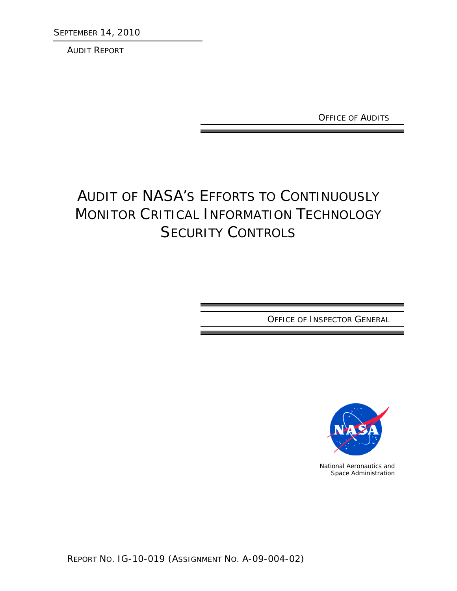SEPTEMBER 14, 2010

AUDIT REPORT

OFFICE OF AUDITS

# AUDIT OF NASA'S EFFORTS TO CONTINUOUSLY MONITOR CRITICAL INFORMATION TECHNOLOGY **SECURITY CONTROLS**

OFFICE OF INSPECTOR GENERAL



National Aeronautics and Space Administration

REPORT NO. IG-10-019 (ASSIGNMENT NO. A-09-004-02)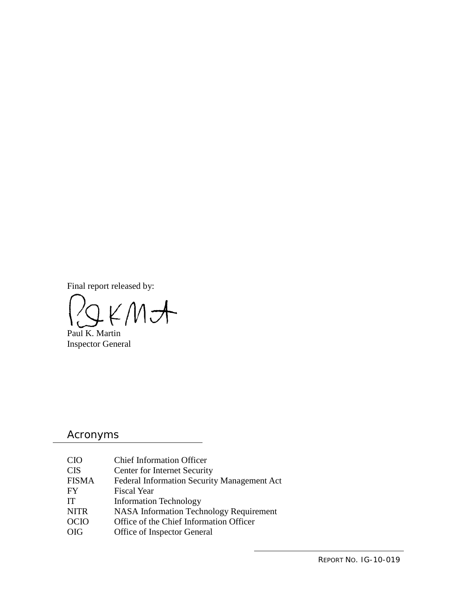Final report released by:

 $KMH$ 

Paul K. Martin Inspector General

## Acronyms

| <b>CIO</b>   | <b>Chief Information Officer</b>                   |
|--------------|----------------------------------------------------|
| <b>CIS</b>   | Center for Internet Security                       |
| <b>FISMA</b> | <b>Federal Information Security Management Act</b> |
| FY           | <b>Fiscal Year</b>                                 |
| <b>IT</b>    | <b>Information Technology</b>                      |
| <b>NITR</b>  | <b>NASA Information Technology Requirement</b>     |
| <b>OCIO</b>  | Office of the Chief Information Officer            |
| <b>OIG</b>   | Office of Inspector General                        |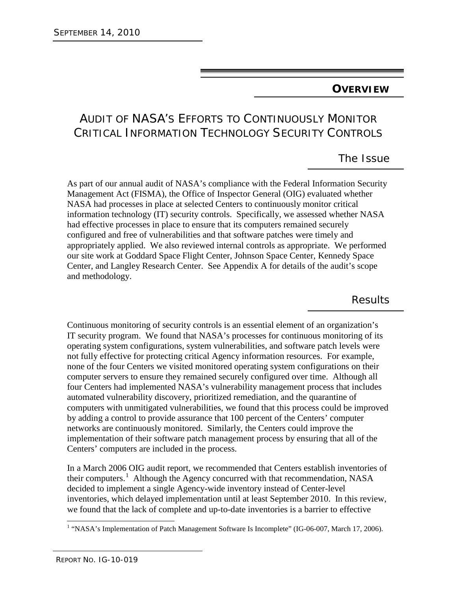## **OVERVIEW**

## AUDIT OF NASA'S EFFORTS TO CONTINUOUSLY MONITOR CRITICAL INFORMATION TECHNOLOGY SECURITY CONTROLS

## The Issue

As part of our annual audit of NASA's compliance with the Federal Information Security Management Act (FISMA), the Office of Inspector General (OIG) evaluated whether NASA had processes in place at selected Centers to continuously monitor critical information technology (IT) security controls. Specifically, we assessed whether NASA had effective processes in place to ensure that its computers remained securely configured and free of vulnerabilities and that software patches were timely and appropriately applied. We also reviewed internal controls as appropriate. We performed our site work at Goddard Space Flight Center, Johnson Space Center, Kennedy Space Center, and Langley Research Center. See Appendix A for details of the audit's scope and methodology.

Results

Continuous monitoring of security controls is an essential element of an organization's IT security program. We found that NASA's processes for continuous monitoring of its operating system configurations, system vulnerabilities, and software patch levels were not fully effective for protecting critical Agency information resources. For example, none of the four Centers we visited monitored operating system configurations on their computer servers to ensure they remained securely configured over time. Although all four Centers had implemented NASA's vulnerability management process that includes automated vulnerability discovery, prioritized remediation, and the quarantine of computers with unmitigated vulnerabilities, we found that this process could be improved by adding a control to provide assurance that 100 percent of the Centers' computer networks are continuously monitored. Similarly, the Centers could improve the implementation of their software patch management process by ensuring that all of the Centers' computers are included in the process.

In a March 2006 OIG audit report, we recommended that Centers establish inventories of their computers.<sup>[1](#page-2-0)</sup> Although the Agency concurred with that recommendation, NASA decided to implement a single Agency-wide inventory instead of Center-level inventories, which delayed implementation until at least September 2010. In this review, we found that the lack of complete and up-to-date inventories is a barrier to effective

<span id="page-2-0"></span><sup>&</sup>lt;sup>1</sup> "NASA's Implementation of Patch Management Software Is Incomplete" (IG-06-007, March 17, 2006).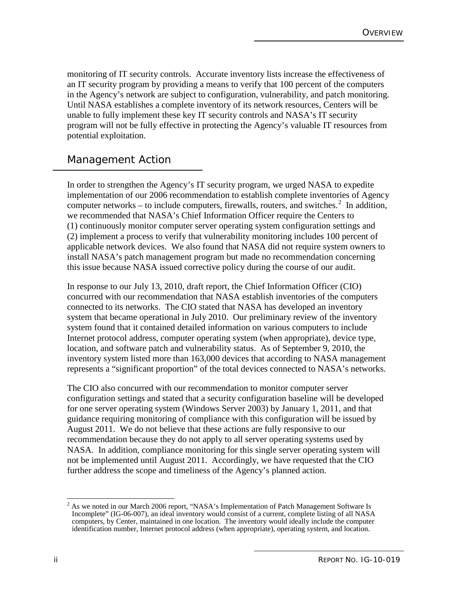monitoring of IT security controls. Accurate inventory lists increase the effectiveness of an IT security program by providing a means to verify that 100 percent of the computers in the Agency's network are subject to configuration, vulnerability, and patch monitoring. Until NASA establishes a complete inventory of its network resources, Centers will be unable to fully implement these key IT security controls and NASA's IT security program will not be fully effective in protecting the Agency's valuable IT resources from potential exploitation.

## Management Action

In order to strengthen the Agency's IT security program, we urged NASA to expedite implementation of our 2006 recommendation to establish complete inventories of Agency computer networks – to include computers, firewalls, routers, and switches. $2$  In addition, we recommended that NASA's Chief Information Officer require the Centers to (1) continuously monitor computer server operating system configuration settings and (2) implement a process to verify that vulnerability monitoring includes 100 percent of applicable network devices. We also found that NASA did not require system owners to install NASA's patch management program but made no recommendation concerning this issue because NASA issued corrective policy during the course of our audit.

In response to our July 13, 2010, draft report, the Chief Information Officer (CIO) concurred with our recommendation that NASA establish inventories of the computers connected to its networks. The CIO stated that NASA has developed an inventory system that became operational in July 2010. Our preliminary review of the inventory system found that it contained detailed information on various computers to include Internet protocol address, computer operating system (when appropriate), device type, location, and software patch and vulnerability status. As of September 9, 2010, the inventory system listed more than 163,000 devices that according to NASA management represents a "significant proportion" of the total devices connected to NASA's networks.

The CIO also concurred with our recommendation to monitor computer server configuration settings and stated that a security configuration baseline will be developed for one server operating system (Windows Server 2003) by January 1, 2011, and that guidance requiring monitoring of compliance with this configuration will be issued by August 2011. We do not believe that these actions are fully responsive to our recommendation because they do not apply to all server operating systems used by NASA. In addition, compliance monitoring for this single server operating system will not be implemented until August 2011. Accordingly, we have requested that the CIO further address the scope and timeliness of the Agency's planned action.

<span id="page-3-0"></span><sup>&</sup>lt;sup>2</sup> As we noted in our March 2006 report, "NASA's Implementation of Patch Management Software Is Incomplete" (IG-06-007), an ideal inventory would consist of a current, complete listing of all NASA computers, by Center, maintained in one location. The inventory would ideally include the computer identification number, Internet protocol address (when appropriate), operating system, and location.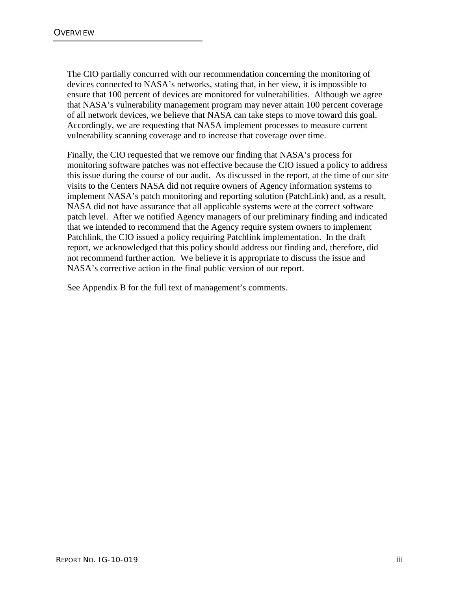The CIO partially concurred with our recommendation concerning the monitoring of devices connected to NASA's networks, stating that, in her view, it is impossible to ensure that 100 percent of devices are monitored for vulnerabilities. Although we agree that NASA's vulnerability management program may never attain 100 percent coverage of all network devices, we believe that NASA can take steps to move toward this goal. Accordingly, we are requesting that NASA implement processes to measure current vulnerability scanning coverage and to increase that coverage over time.

Finally, the CIO requested that we remove our finding that NASA's process for monitoring software patches was not effective because the CIO issued a policy to address this issue during the course of our audit. As discussed in the report, at the time of our site visits to the Centers NASA did not require owners of Agency information systems to implement NASA's patch monitoring and reporting solution (PatchLink) and, as a result, NASA did not have assurance that all applicable systems were at the correct software patch level. After we notified Agency managers of our preliminary finding and indicated that we intended to recommend that the Agency require system owners to implement Patchlink, the CIO issued a policy requiring Patchlink implementation. In the draft report, we acknowledged that this policy should address our finding and, therefore, did not recommend further action. We believe it is appropriate to discuss the issue and NASA's corrective action in the final public version of our report.

See Appendix B for the full text of management's comments.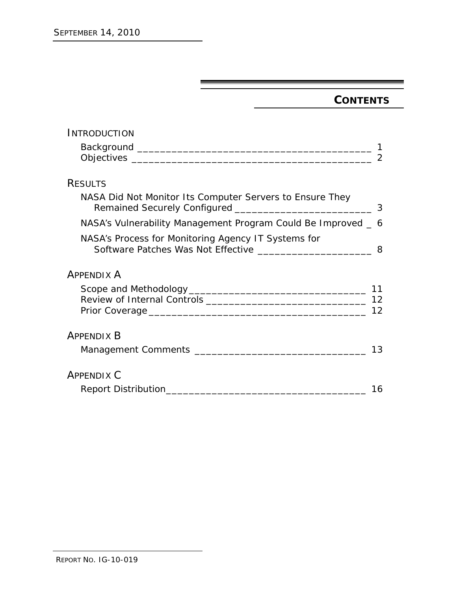## **CONTENTS**

| INTRODUCTION                                                                                                                  |                |
|-------------------------------------------------------------------------------------------------------------------------------|----------------|
|                                                                                                                               |                |
|                                                                                                                               | $\overline{2}$ |
| <b>RESULTS</b>                                                                                                                |                |
| NASA Did Not Monitor Its Computer Servers to Ensure They                                                                      |                |
| NASA's Vulnerability Management Program Could Be Improved _ 6                                                                 |                |
| NASA's Process for Monitoring Agency IT Systems for<br>Software Patches Was Not Effective _________________________________ 8 |                |
| <b>APPENDIX A</b>                                                                                                             |                |
|                                                                                                                               |                |
|                                                                                                                               | 12             |
|                                                                                                                               | 12             |
| <b>APPENDIX B</b>                                                                                                             |                |
|                                                                                                                               | 13             |
| <b>APPENDIX C</b>                                                                                                             |                |
| Report Distribution                                                                                                           | 16             |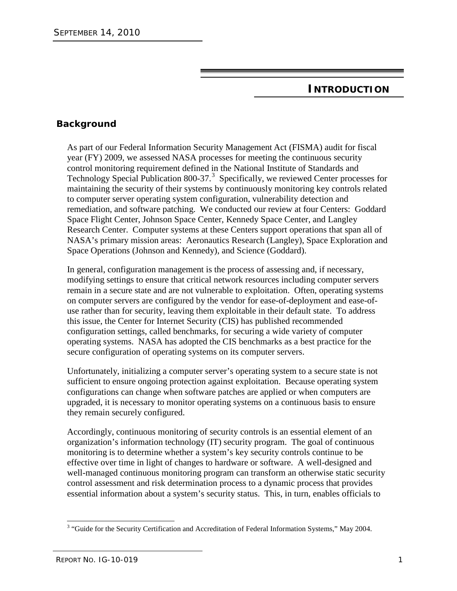## **INTRODUCTION**

## **Background**

As part of our Federal Information Security Management Act (FISMA) audit for fiscal year (FY) 2009, we assessed NASA processes for meeting the continuous security control monitoring requirement defined in the National Institute of Standards and Technology Special Publication 800-[3](#page-8-0)7.<sup>3</sup> Specifically, we reviewed Center processes for maintaining the security of their systems by continuously monitoring key controls related to computer server operating system configuration, vulnerability detection and remediation, and software patching. We conducted our review at four Centers: Goddard Space Flight Center, Johnson Space Center, Kennedy Space Center, and Langley Research Center. Computer systems at these Centers support operations that span all of NASA's primary mission areas: Aeronautics Research (Langley), Space Exploration and Space Operations (Johnson and Kennedy), and Science (Goddard).

In general, configuration management is the process of assessing and, if necessary, modifying settings to ensure that critical network resources including computer servers remain in a secure state and are not vulnerable to exploitation. Often, operating systems on computer servers are configured by the vendor for ease-of-deployment and ease-ofuse rather than for security, leaving them exploitable in their default state. To address this issue, the Center for Internet Security (CIS) has published recommended configuration settings, called benchmarks, for securing a wide variety of computer operating systems. NASA has adopted the CIS benchmarks as a best practice for the secure configuration of operating systems on its computer servers.

Unfortunately, initializing a computer server's operating system to a secure state is not sufficient to ensure ongoing protection against exploitation. Because operating system configurations can change when software patches are applied or when computers are upgraded, it is necessary to monitor operating systems on a continuous basis to ensure they remain securely configured.

Accordingly, continuous monitoring of security controls is an essential element of an organization's information technology (IT) security program. The goal of continuous monitoring is to determine whether a system's key security controls continue to be effective over time in light of changes to hardware or software. A well-designed and well-managed continuous monitoring program can transform an otherwise static security control assessment and risk determination process to a dynamic process that provides essential information about a system's security status. This, in turn, enables officials to

<span id="page-8-0"></span><sup>&</sup>lt;sup>3</sup> "Guide for the Security Certification and Accreditation of Federal Information Systems," May 2004.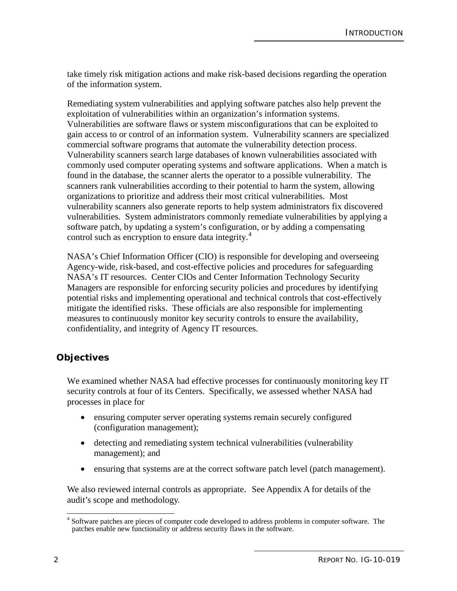take timely risk mitigation actions and make risk-based decisions regarding the operation of the information system.

Remediating system vulnerabilities and applying software patches also help prevent the exploitation of vulnerabilities within an organization's information systems. Vulnerabilities are software flaws or system misconfigurations that can be exploited to gain access to or control of an information system. Vulnerability scanners are specialized commercial software programs that automate the vulnerability detection process. Vulnerability scanners search large databases of known vulnerabilities associated with commonly used computer operating systems and software applications. When a match is found in the database, the scanner alerts the operator to a possible vulnerability. The scanners rank vulnerabilities according to their potential to harm the system, allowing organizations to prioritize and address their most critical vulnerabilities. Most vulnerability scanners also generate reports to help system administrators fix discovered vulnerabilities. System administrators commonly remediate vulnerabilities by applying a software patch, by updating a system's configuration, or by adding a compensating control such as encryption to ensure data integrity.<sup>[4](#page-9-0)</sup>

NASA's Chief Information Officer (CIO) is responsible for developing and overseeing Agency-wide, risk-based, and cost-effective policies and procedures for safeguarding NASA's IT resources. Center CIOs and Center Information Technology Security Managers are responsible for enforcing security policies and procedures by identifying potential risks and implementing operational and technical controls that cost-effectively mitigate the identified risks. These officials are also responsible for implementing measures to continuously monitor key security controls to ensure the availability, confidentiality, and integrity of Agency IT resources.

### **Objectives**

We examined whether NASA had effective processes for continuously monitoring key IT security controls at four of its Centers. Specifically, we assessed whether NASA had processes in place for

- ensuring computer server operating systems remain securely configured (configuration management);
- detecting and remediating system technical vulnerabilities (vulnerability management); and
- ensuring that systems are at the correct software patch level (patch management).

We also reviewed internal controls as appropriate. See Appendix A for details of the audit's scope and methodology.

<span id="page-9-0"></span><sup>&</sup>lt;sup>4</sup> Software patches are pieces of computer code developed to address problems in computer software. The patches enable new functionality or address security flaws in the software.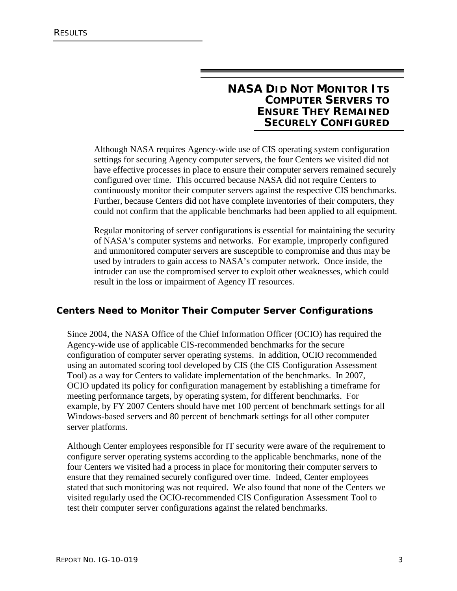## **NASA DID NOT MONITOR ITS COMPUTER SERVERS TO ENSURE THEY REMAINED SECURELY CONFIGURED**

Although NASA requires Agency-wide use of CIS operating system configuration settings for securing Agency computer servers, the four Centers we visited did not have effective processes in place to ensure their computer servers remained securely configured over time. This occurred because NASA did not require Centers to continuously monitor their computer servers against the respective CIS benchmarks. Further, because Centers did not have complete inventories of their computers, they could not confirm that the applicable benchmarks had been applied to all equipment.

Regular monitoring of server configurations is essential for maintaining the security of NASA's computer systems and networks. For example, improperly configured and unmonitored computer servers are susceptible to compromise and thus may be used by intruders to gain access to NASA's computer network. Once inside, the intruder can use the compromised server to exploit other weaknesses, which could result in the loss or impairment of Agency IT resources.

### **Centers Need to Monitor Their Computer Server Configurations**

Since 2004, the NASA Office of the Chief Information Officer (OCIO) has required the Agency-wide use of applicable CIS-recommended benchmarks for the secure configuration of computer server operating systems. In addition, OCIO recommended using an automated scoring tool developed by CIS (the CIS Configuration Assessment Tool) as a way for Centers to validate implementation of the benchmarks. In 2007, OCIO updated its policy for configuration management by establishing a timeframe for meeting performance targets, by operating system, for different benchmarks. For example, by FY 2007 Centers should have met 100 percent of benchmark settings for all Windows-based servers and 80 percent of benchmark settings for all other computer server platforms.

Although Center employees responsible for IT security were aware of the requirement to configure server operating systems according to the applicable benchmarks, none of the four Centers we visited had a process in place for monitoring their computer servers to ensure that they remained securely configured over time. Indeed, Center employees stated that such monitoring was not required. We also found that none of the Centers we visited regularly used the OCIO-recommended CIS Configuration Assessment Tool to test their computer server configurations against the related benchmarks.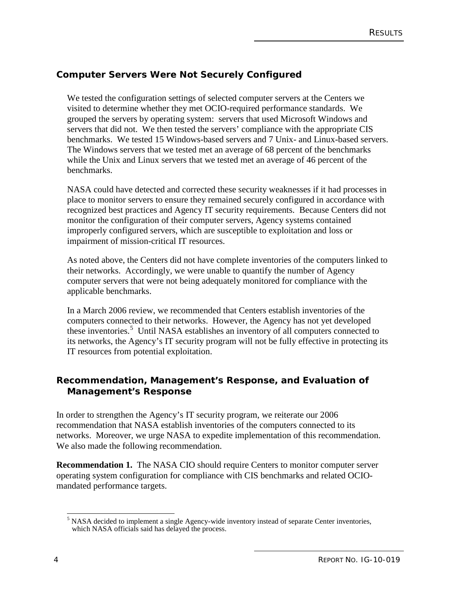## **Computer Servers Were Not Securely Configured**

We tested the configuration settings of selected computer servers at the Centers we visited to determine whether they met OCIO-required performance standards. We grouped the servers by operating system: servers that used Microsoft Windows and servers that did not. We then tested the servers' compliance with the appropriate CIS benchmarks. We tested 15 Windows-based servers and 7 Unix- and Linux-based servers. The Windows servers that we tested met an average of 68 percent of the benchmarks while the Unix and Linux servers that we tested met an average of 46 percent of the benchmarks.

NASA could have detected and corrected these security weaknesses if it had processes in place to monitor servers to ensure they remained securely configured in accordance with recognized best practices and Agency IT security requirements. Because Centers did not monitor the configuration of their computer servers, Agency systems contained improperly configured servers, which are susceptible to exploitation and loss or impairment of mission-critical IT resources.

As noted above, the Centers did not have complete inventories of the computers linked to their networks. Accordingly, we were unable to quantify the number of Agency computer servers that were not being adequately monitored for compliance with the applicable benchmarks.

In a March 2006 review, we recommended that Centers establish inventories of the computers connected to their networks. However, the Agency has not yet developed these inventories.<sup>[5](#page-11-0)</sup> Until NASA establishes an inventory of all computers connected to its networks, the Agency's IT security program will not be fully effective in protecting its IT resources from potential exploitation.

### **Recommendation, Management's Response, and Evaluation of Management's Response**

In order to strengthen the Agency's IT security program, we reiterate our 2006 recommendation that NASA establish inventories of the computers connected to its networks. Moreover, we urge NASA to expedite implementation of this recommendation. We also made the following recommendation.

**Recommendation 1.** The NASA CIO should require Centers to monitor computer server operating system configuration for compliance with CIS benchmarks and related OCIOmandated performance targets.

<span id="page-11-0"></span><sup>&</sup>lt;sup>5</sup> NASA decided to implement a single Agency-wide inventory instead of separate Center inventories, which NASA officials said has delayed the process.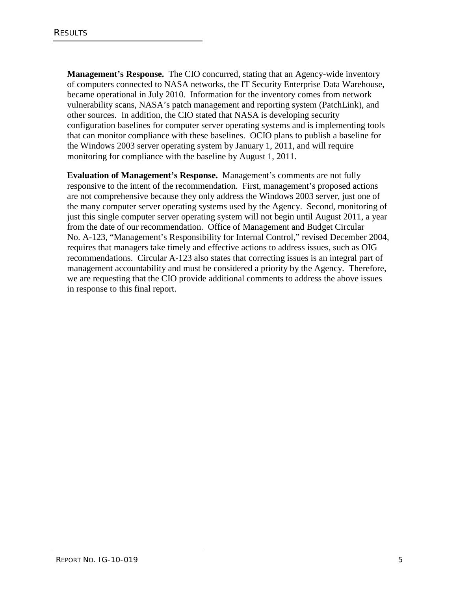**Management's Response.** The CIO concurred, stating that an Agency-wide inventory of computers connected to NASA networks, the IT Security Enterprise Data Warehouse, became operational in July 2010. Information for the inventory comes from network vulnerability scans, NASA's patch management and reporting system (PatchLink), and other sources. In addition, the CIO stated that NASA is developing security configuration baselines for computer server operating systems and is implementing tools that can monitor compliance with these baselines. OCIO plans to publish a baseline for the Windows 2003 server operating system by January 1, 2011, and will require monitoring for compliance with the baseline by August 1, 2011.

**Evaluation of Management's Response.** Management's comments are not fully responsive to the intent of the recommendation. First, management's proposed actions are not comprehensive because they only address the Windows 2003 server, just one of the many computer server operating systems used by the Agency. Second, monitoring of just this single computer server operating system will not begin until August 2011, a year from the date of our recommendation. Office of Management and Budget Circular No. A-123, "Management's Responsibility for Internal Control," revised December 2004, requires that managers take timely and effective actions to address issues, such as OIG recommendations. Circular A-123 also states that correcting issues is an integral part of management accountability and must be considered a priority by the Agency. Therefore, we are requesting that the CIO provide additional comments to address the above issues in response to this final report.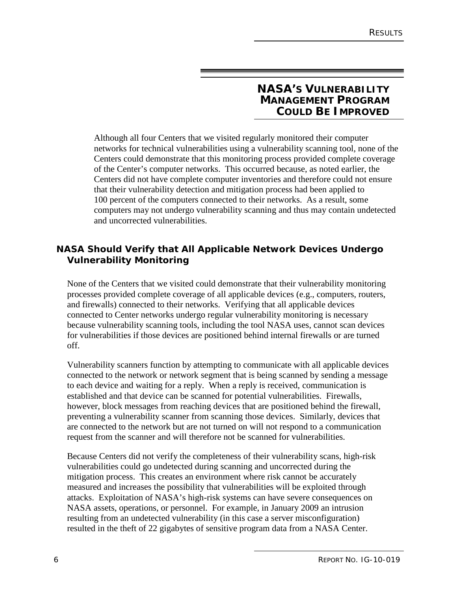## **NASA'S VULNERABILITY MANAGEMENT PROGRAM COULD BE IMPROVED**

Although all four Centers that we visited regularly monitored their computer networks for technical vulnerabilities using a vulnerability scanning tool, none of the Centers could demonstrate that this monitoring process provided complete coverage of the Center's computer networks. This occurred because, as noted earlier, the Centers did not have complete computer inventories and therefore could not ensure that their vulnerability detection and mitigation process had been applied to 100 percent of the computers connected to their networks. As a result, some computers may not undergo vulnerability scanning and thus may contain undetected and uncorrected vulnerabilities.

## **NASA Should Verify that All Applicable Network Devices Undergo Vulnerability Monitoring**

None of the Centers that we visited could demonstrate that their vulnerability monitoring processes provided complete coverage of all applicable devices (e.g., computers, routers, and firewalls) connected to their networks. Verifying that all applicable devices connected to Center networks undergo regular vulnerability monitoring is necessary because vulnerability scanning tools, including the tool NASA uses, cannot scan devices for vulnerabilities if those devices are positioned behind internal firewalls or are turned off.

Vulnerability scanners function by attempting to communicate with all applicable devices connected to the network or network segment that is being scanned by sending a message to each device and waiting for a reply. When a reply is received, communication is established and that device can be scanned for potential vulnerabilities. Firewalls, however, block messages from reaching devices that are positioned behind the firewall, preventing a vulnerability scanner from scanning those devices. Similarly, devices that are connected to the network but are not turned on will not respond to a communication request from the scanner and will therefore not be scanned for vulnerabilities.

Because Centers did not verify the completeness of their vulnerability scans, high-risk vulnerabilities could go undetected during scanning and uncorrected during the mitigation process. This creates an environment where risk cannot be accurately measured and increases the possibility that vulnerabilities will be exploited through attacks. Exploitation of NASA's high-risk systems can have severe consequences on NASA assets, operations, or personnel. For example, in January 2009 an intrusion resulting from an undetected vulnerability (in this case a server misconfiguration) resulted in the theft of 22 gigabytes of sensitive program data from a NASA Center.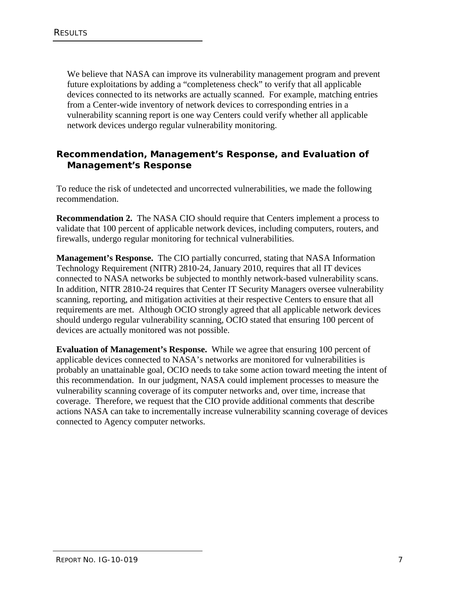We believe that NASA can improve its vulnerability management program and prevent future exploitations by adding a "completeness check" to verify that all applicable devices connected to its networks are actually scanned. For example, matching entries from a Center-wide inventory of network devices to corresponding entries in a vulnerability scanning report is one way Centers could verify whether all applicable network devices undergo regular vulnerability monitoring.

## **Recommendation, Management's Response, and Evaluation of Management's Response**

To reduce the risk of undetected and uncorrected vulnerabilities, we made the following recommendation.

**Recommendation 2.** The NASA CIO should require that Centers implement a process to validate that 100 percent of applicable network devices, including computers, routers, and firewalls, undergo regular monitoring for technical vulnerabilities.

**Management's Response.** The CIO partially concurred, stating that NASA Information Technology Requirement (NITR) 2810-24, January 2010, requires that all IT devices connected to NASA networks be subjected to monthly network-based vulnerability scans. In addition, NITR 2810-24 requires that Center IT Security Managers oversee vulnerability scanning, reporting, and mitigation activities at their respective Centers to ensure that all requirements are met. Although OCIO strongly agreed that all applicable network devices should undergo regular vulnerability scanning, OCIO stated that ensuring 100 percent of devices are actually monitored was not possible.

**Evaluation of Management's Response.** While we agree that ensuring 100 percent of applicable devices connected to NASA's networks are monitored for vulnerabilities is probably an unattainable goal, OCIO needs to take some action toward meeting the intent of this recommendation. In our judgment, NASA could implement processes to measure the vulnerability scanning coverage of its computer networks and, over time, increase that coverage. Therefore, we request that the CIO provide additional comments that describe actions NASA can take to incrementally increase vulnerability scanning coverage of devices connected to Agency computer networks.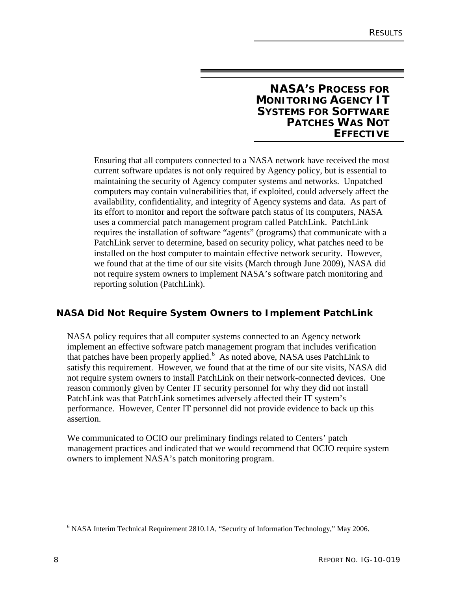## **NASA'S PROCESS FOR MONITORING AGENCY IT SYSTEMS FOR SOFTWARE PATCHES WAS NOT EFFECTIVE**

Ensuring that all computers connected to a NASA network have received the most current software updates is not only required by Agency policy, but is essential to maintaining the security of Agency computer systems and networks. Unpatched computers may contain vulnerabilities that, if exploited, could adversely affect the availability, confidentiality, and integrity of Agency systems and data. As part of its effort to monitor and report the software patch status of its computers, NASA uses a commercial patch management program called PatchLink. PatchLink requires the installation of software "agents" (programs) that communicate with a PatchLink server to determine, based on security policy, what patches need to be installed on the host computer to maintain effective network security. However, we found that at the time of our site visits (March through June 2009), NASA did not require system owners to implement NASA's software patch monitoring and reporting solution (PatchLink).

## **NASA Did Not Require System Owners to Implement PatchLink**

NASA policy requires that all computer systems connected to an Agency network implement an effective software patch management program that includes verification that patches have been properly applied.<sup>[6](#page-15-0)</sup> As noted above, NASA uses PatchLink to satisfy this requirement. However, we found that at the time of our site visits, NASA did not require system owners to install PatchLink on their network-connected devices. One reason commonly given by Center IT security personnel for why they did not install PatchLink was that PatchLink sometimes adversely affected their IT system's performance. However, Center IT personnel did not provide evidence to back up this assertion.

We communicated to OCIO our preliminary findings related to Centers' patch management practices and indicated that we would recommend that OCIO require system owners to implement NASA's patch monitoring program.

<span id="page-15-0"></span> <sup>6</sup> NASA Interim Technical Requirement 2810.1A, "Security of Information Technology," May 2006.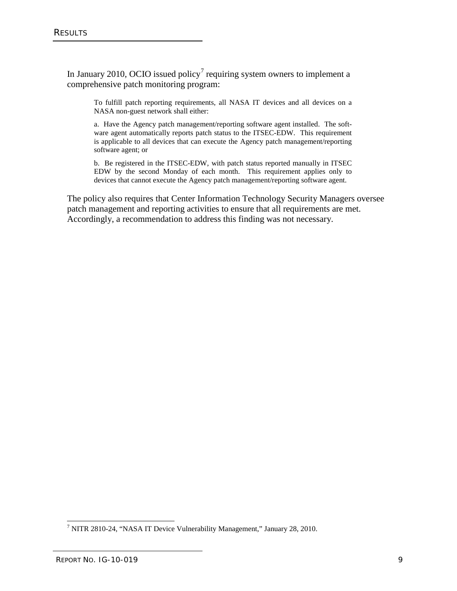In January 2010, OCIO issued policy<sup>[7](#page-16-0)</sup> requiring system owners to implement a comprehensive patch monitoring program:

To fulfill patch reporting requirements, all NASA IT devices and all devices on a NASA non-guest network shall either:

a. Have the Agency patch management/reporting software agent installed. The software agent automatically reports patch status to the ITSEC-EDW. This requirement is applicable to all devices that can execute the Agency patch management/reporting software agent; or

b. Be registered in the ITSEC-EDW, with patch status reported manually in ITSEC EDW by the second Monday of each month. This requirement applies only to devices that cannot execute the Agency patch management/reporting software agent.

The policy also requires that Center Information Technology Security Managers oversee patch management and reporting activities to ensure that all requirements are met. Accordingly, a recommendation to address this finding was not necessary.

<span id="page-16-0"></span> <sup>7</sup> NITR 2810-24, "NASA IT Device Vulnerability Management," January 28, 2010.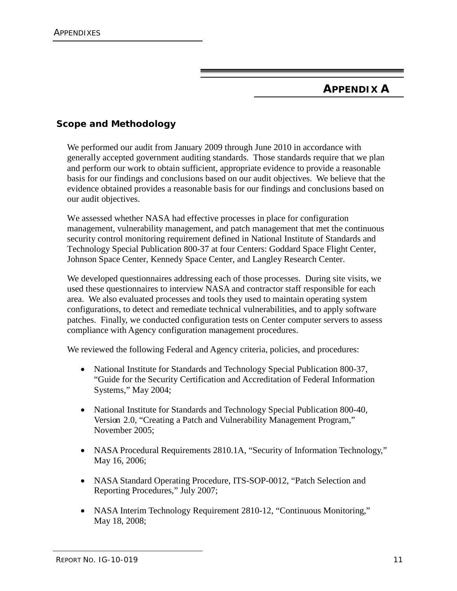## **APPENDIX A**

## **Scope and Methodology**

We performed our audit from January 2009 through June 2010 in accordance with generally accepted government auditing standards. Those standards require that we plan and perform our work to obtain sufficient, appropriate evidence to provide a reasonable basis for our findings and conclusions based on our audit objectives. We believe that the evidence obtained provides a reasonable basis for our findings and conclusions based on our audit objectives.

We assessed whether NASA had effective processes in place for configuration management, vulnerability management, and patch management that met the continuous security control monitoring requirement defined in National Institute of Standards and Technology Special Publication 800-37 at four Centers: Goddard Space Flight Center, Johnson Space Center, Kennedy Space Center, and Langley Research Center.

We developed questionnaires addressing each of those processes. During site visits, we used these questionnaires to interview NASA and contractor staff responsible for each area. We also evaluated processes and tools they used to maintain operating system configurations, to detect and remediate technical vulnerabilities, and to apply software patches. Finally, we conducted configuration tests on Center computer servers to assess compliance with Agency configuration management procedures.

We reviewed the following Federal and Agency criteria, policies, and procedures:

- National Institute for Standards and Technology Special Publication 800-37, "Guide for the Security Certification and Accreditation of Federal Information Systems," May 2004;
- National Institute for Standards and Technology Special Publication 800-40, Version 2.0, "Creating a Patch and Vulnerability Management Program," November 2005;
- NASA Procedural Requirements 2810.1A, "Security of Information Technology," May 16, 2006;
- NASA Standard Operating Procedure, ITS-SOP-0012, "Patch Selection and Reporting Procedures," July 2007;
- NASA Interim Technology Requirement 2810-12, "Continuous Monitoring," May 18, 2008;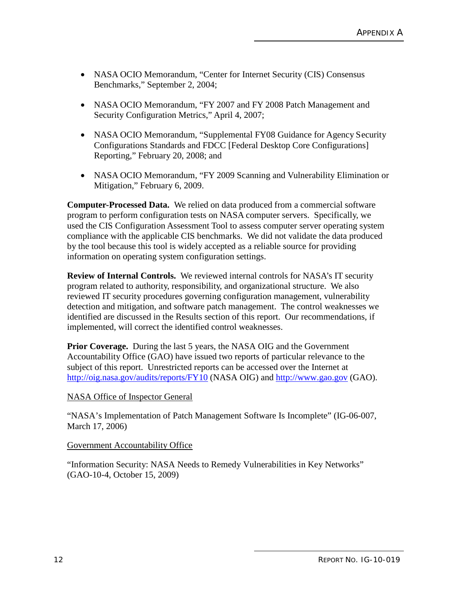- NASA OCIO Memorandum, "Center for Internet Security (CIS) Consensus Benchmarks," September 2, 2004;
- NASA OCIO Memorandum, "FY 2007 and FY 2008 Patch Management and Security Configuration Metrics," April 4, 2007;
- NASA OCIO Memorandum, "Supplemental FY08 Guidance for Agency Security Configurations Standards and FDCC [Federal Desktop Core Configurations] Reporting," February 20, 2008; and
- NASA OCIO Memorandum, "FY 2009 Scanning and Vulnerability Elimination or Mitigation," February 6, 2009.

**Computer-Processed Data.** We relied on data produced from a commercial software program to perform configuration tests on NASA computer servers. Specifically, we used the CIS Configuration Assessment Tool to assess computer server operating system compliance with the applicable CIS benchmarks. We did not validate the data produced by the tool because this tool is widely accepted as a reliable source for providing information on operating system configuration settings.

**Review of Internal Controls.** We reviewed internal controls for NASA's IT security program related to authority, responsibility, and organizational structure. We also reviewed IT security procedures governing configuration management, vulnerability detection and mitigation, and software patch management. The control weaknesses we identified are discussed in the Results section of this report. Our recommendations, if implemented, will correct the identified control weaknesses.

**Prior Coverage.** During the last 5 years, the NASA OIG and the Government Accountability Office (GAO) have issued two reports of particular relevance to the subject of this report. Unrestricted reports can be accessed over the Internet at <http://oig.nasa.gov/audits/reports/FY10> (NASA OIG) and [http://www.gao.gov](http://www.gao.gov/) (GAO).

#### NASA Office of Inspector General

"NASA's Implementation of Patch Management Software Is Incomplete" (IG-06-007, March 17, 2006)

Government Accountability Office

"Information Security: NASA Needs to Remedy Vulnerabilities in Key Networks" (GAO-10-4, October 15, 2009)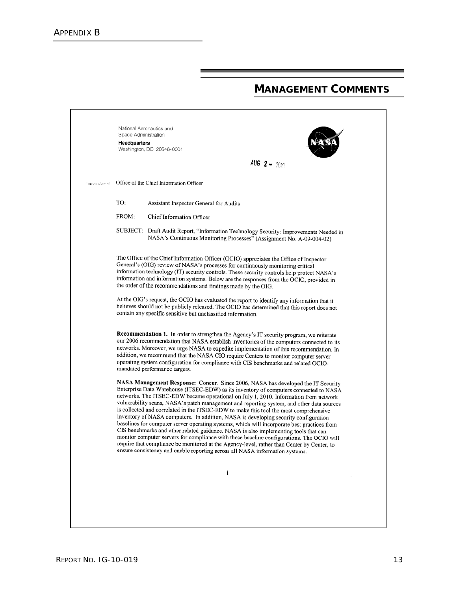## **MANAGEMENT COMMENTS**

|                  | National Aeronautics and<br>Space Administration<br>Headquarters                                                                                                                                                                                                                                                                                                                                                                     |                                                                                                                                                                                                                                                                                                                                                                                                                                                                                                                                                                                                                                                                                                                                                                                                                                                                                                                                                                                                                 |  |  |
|------------------|--------------------------------------------------------------------------------------------------------------------------------------------------------------------------------------------------------------------------------------------------------------------------------------------------------------------------------------------------------------------------------------------------------------------------------------|-----------------------------------------------------------------------------------------------------------------------------------------------------------------------------------------------------------------------------------------------------------------------------------------------------------------------------------------------------------------------------------------------------------------------------------------------------------------------------------------------------------------------------------------------------------------------------------------------------------------------------------------------------------------------------------------------------------------------------------------------------------------------------------------------------------------------------------------------------------------------------------------------------------------------------------------------------------------------------------------------------------------|--|--|
|                  |                                                                                                                                                                                                                                                                                                                                                                                                                                      | Washington, DC 20546-0001<br>AUG $2 - 2010$                                                                                                                                                                                                                                                                                                                                                                                                                                                                                                                                                                                                                                                                                                                                                                                                                                                                                                                                                                     |  |  |
| Febru to Attn of |                                                                                                                                                                                                                                                                                                                                                                                                                                      | Office of the Chief Information Officer                                                                                                                                                                                                                                                                                                                                                                                                                                                                                                                                                                                                                                                                                                                                                                                                                                                                                                                                                                         |  |  |
|                  | TO:                                                                                                                                                                                                                                                                                                                                                                                                                                  | Assistant Inspector General for Audits                                                                                                                                                                                                                                                                                                                                                                                                                                                                                                                                                                                                                                                                                                                                                                                                                                                                                                                                                                          |  |  |
|                  | FROM:                                                                                                                                                                                                                                                                                                                                                                                                                                | Chief Information Officer                                                                                                                                                                                                                                                                                                                                                                                                                                                                                                                                                                                                                                                                                                                                                                                                                                                                                                                                                                                       |  |  |
|                  |                                                                                                                                                                                                                                                                                                                                                                                                                                      | SUBJECT: Draft Audit Report, "Information Technology Security: Improvements Needed in<br>NASA's Continuous Monitoring Processes" (Assignment No. A-09-004-02)                                                                                                                                                                                                                                                                                                                                                                                                                                                                                                                                                                                                                                                                                                                                                                                                                                                   |  |  |
|                  | The Office of the Chief Information Officer (OCIO) appreciates the Office of Inspector<br>General's (OIG) review of NASA's processes for continuously monitoring critical<br>information technology (IT) security controls. These security controls help protect NASA's<br>information and information systems. Below are the responses from the OCIO, provided in<br>the order of the recommendations and findings made by the OIG. |                                                                                                                                                                                                                                                                                                                                                                                                                                                                                                                                                                                                                                                                                                                                                                                                                                                                                                                                                                                                                 |  |  |
|                  |                                                                                                                                                                                                                                                                                                                                                                                                                                      | At the OIG's request, the OCIO has evaluated the report to identify any information that it<br>believes should not be publicly released. The OCIO has determined that this report does not<br>contain any specific sensitive but unclassified information.                                                                                                                                                                                                                                                                                                                                                                                                                                                                                                                                                                                                                                                                                                                                                      |  |  |
|                  |                                                                                                                                                                                                                                                                                                                                                                                                                                      | Recommendation 1. In order to strengthen the Agency's IT security program, we reiterate<br>our 2006 recommendation that NASA establish inventories of the computers connected to its<br>networks. Moreover, we urge NASA to expedite implementation of this recommendation. In<br>addition, we recommend that the NASA CIO require Centers to monitor computer server<br>operating system configuration for compliance with CIS benchmarks and related OCIO-<br>mandated performance targets.                                                                                                                                                                                                                                                                                                                                                                                                                                                                                                                   |  |  |
|                  |                                                                                                                                                                                                                                                                                                                                                                                                                                      | NASA Management Response: Concur. Since 2006, NASA has developed the IT Security<br>Enterprise Data Warehouse (ITSEC-EDW) as its inventory of computers connected to NASA<br>networks. The ITSEC-EDW became operational on July 1, 2010. Information from network<br>vulnerability scans, NASA's patch management and reporting system, and other data sources<br>is collected and correlated in the ITSEC-EDW to make this tool the most comprehensive<br>inventory of NASA computers. In addition, NASA is developing security configuration<br>baselines for computer server operating systems, which will incorporate best practices from<br>CIS benchmarks and other related guidance. NASA is also implementing tools that can<br>monitor computer servers for compliance with these baseline configurations. The OCIO will<br>require that compliance be monitored at the Agency-level, rather than Center by Center, to<br>ensure consistency and enable reporting across all NASA information systems. |  |  |
|                  |                                                                                                                                                                                                                                                                                                                                                                                                                                      | 1                                                                                                                                                                                                                                                                                                                                                                                                                                                                                                                                                                                                                                                                                                                                                                                                                                                                                                                                                                                                               |  |  |
|                  |                                                                                                                                                                                                                                                                                                                                                                                                                                      |                                                                                                                                                                                                                                                                                                                                                                                                                                                                                                                                                                                                                                                                                                                                                                                                                                                                                                                                                                                                                 |  |  |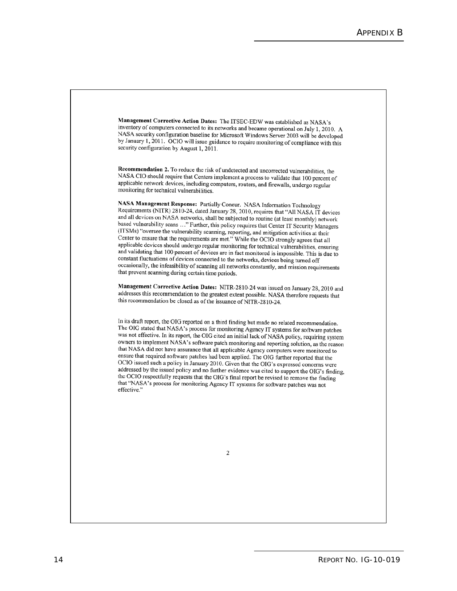Management Corrective Action Dates: The ITSEC-EDW was established as NASA's inventory of computers connected to its networks and became operational on July 1, 2010. A NASA security configuration baseline for Microsoft Windows Server 2003 will be developed by January 1, 2011. OCIO will issue guidance to require monitoring of compliance with this security configuration by August 1,  $2011$ .

Recommendation 2. To reduce the risk of undetected and uncorrected vulnerabilities, the NASA CIO should require that Centers implement a process to validate that 100 percent of applicable network devices, including computers, routers, and firewalls, undergo regular monitoring for technical vulnerabilities.

NASA Management Response: Partially Concur. NASA Information Technology Requirements (NITR) 2810-24, dated January 28, 2010, requires that "All NASA IT devices and all devices on NASA networks, shall be subjected to routine (at least monthly) network based vulnerability scans ..." Further, this policy requires that Center IT Security Managers (ITSMs) "oversee the vulnerability scanning, reporting, and mitigation activities at their Center to ensure that the requirements are met." While the OCIO strongly agrees that all applicable devices should undergo regular monitoring for technical vulnerabilities, ensuring and validating that 100 percent of devices are in fact monitored is impossible. This is due to constant fluctuations of devices connected to the networks, devices being turned off occasionally, the infeasibility of scanning all networks constantly, and mission requirements that prevent scanning during certain time periods.

Management Corrective Action Dates: NITR-2810-24 was issued on January 28, 2010 and addresses this recommendation to the greatest extent possible. NASA therefore requests that this recommendation be closed as of the issuance of NITR-2810-24.

In its draft report, the OIG reported on a third finding but made no related recommendation. The OIG stated that NASA's process for monitoring Agency IT systems for software patches was not effective. In its report, the OIG cited an initial lack of NASA policy, requiring system owners to implement NASA's software patch monitoring and reporting solution, as the reason that NASA did not have assurance that all applicable Agency computers were monitored to ensure that required software patches had been applied. The OIG further reported that the OCIO issued such a policy in January 2010. Given that the OIG's expressed concerns were addressed by the issued policy and no further evidence was cited to support the OIG's finding, the OCIO respectfully requests that the OIG's final report be revised to remove the finding that "NASA's process for monitoring Agency IT systems for software patches was not effective."

 $\overline{c}$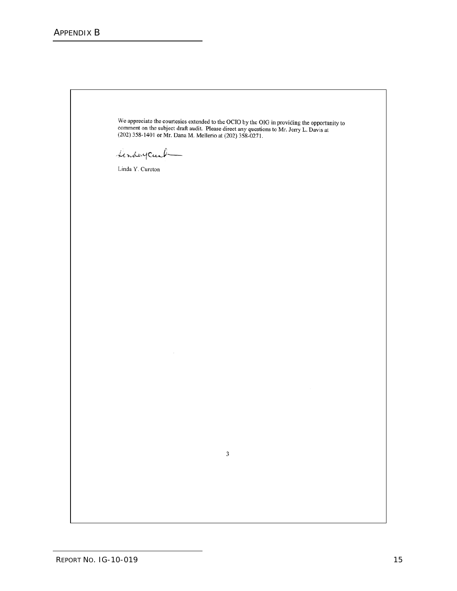We appreciate the courtesies extended to the OCIO by the OIG in providing the opportunity to comment on the subject draft audit. Please direct any questions to Mr. Jerry L. Davis at (202) 358-1401 or Mr. Dana M. Mellerio a

 $\mathfrak{Z}$ 

Linday Carl

Linda Y. Cureton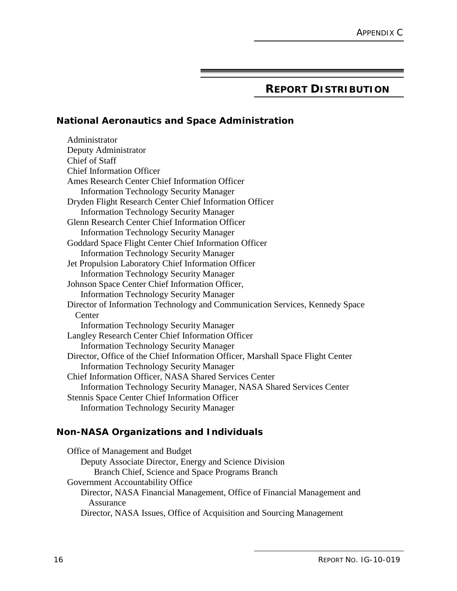## **REPORT DISTRIBUTION**

#### **National Aeronautics and Space Administration**

Administrator Deputy Administrator Chief of Staff Chief Information Officer Ames Research Center Chief Information Officer Information Technology Security Manager Dryden Flight Research Center Chief Information Officer Information Technology Security Manager Glenn Research Center Chief Information Officer Information Technology Security Manager Goddard Space Flight Center Chief Information Officer Information Technology Security Manager Jet Propulsion Laboratory Chief Information Officer Information Technology Security Manager Johnson Space Center Chief Information Officer, Information Technology Security Manager Director of Information Technology and Communication Services, Kennedy Space Center Information Technology Security Manager Langley Research Center Chief Information Officer Information Technology Security Manager Director, Office of the Chief Information Officer, Marshall Space Flight Center Information Technology Security Manager Chief Information Officer, NASA Shared Services Center Information Technology Security Manager, NASA Shared Services Center Stennis Space Center Chief Information Officer Information Technology Security Manager

#### **Non-NASA Organizations and Individuals**

Office of Management and Budget Deputy Associate Director, Energy and Science Division Branch Chief, Science and Space Programs Branch Government Accountability Office Director, NASA Financial Management, Office of Financial Management and Assurance Director, NASA Issues, Office of Acquisition and Sourcing Management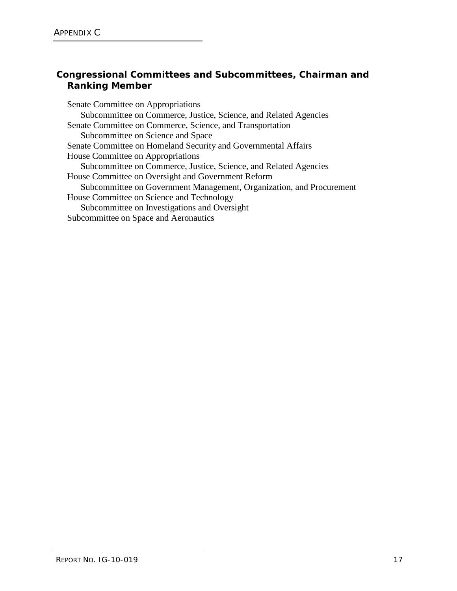## **Congressional Committees and Subcommittees, Chairman and Ranking Member**

Senate Committee on Appropriations Subcommittee on Commerce, Justice, Science, and Related Agencies Senate Committee on Commerce, Science, and Transportation Subcommittee on Science and Space Senate Committee on Homeland Security and Governmental Affairs House Committee on Appropriations Subcommittee on Commerce, Justice, Science, and Related Agencies House Committee on Oversight and Government Reform Subcommittee on Government Management, Organization, and Procurement House Committee on Science and Technology Subcommittee on Investigations and Oversight Subcommittee on Space and Aeronautics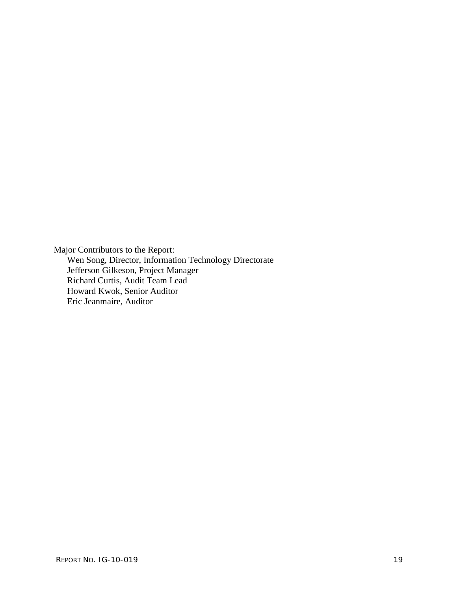Major Contributors to the Report: Wen Song, Director, Information Technology Directorate Jefferson Gilkeson, Project Manager Richard Curtis, Audit Team Lead Howard Kwok, Senior Auditor Eric Jeanmaire, Auditor